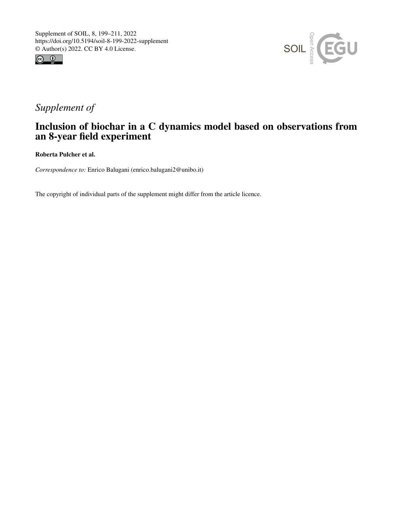



# *Supplement of*

## Inclusion of biochar in a C dynamics model based on observations from an 8-year field experiment

Roberta Pulcher et al.

*Correspondence to:* Enrico Balugani (enrico.balugani2@unibo.it)

The copyright of individual parts of the supplement might differ from the article licence.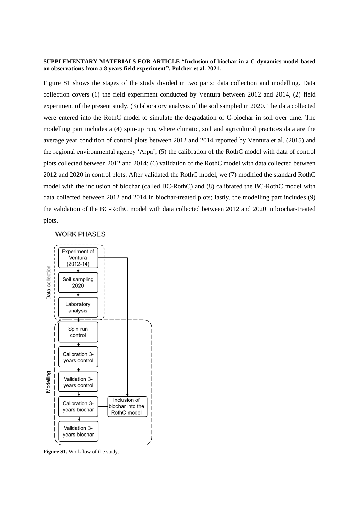#### **SUPPLEMENTARY MATERIALS FOR ARTICLE "Inclusion of biochar in a C-dynamics model based on observations from a 8 years field experiment", Pulcher et al. 2021.**

Figure S1 shows the stages of the study divided in two parts: data collection and modelling. Data collection covers (1) the field experiment conducted by Ventura between 2012 and 2014, (2) field experiment of the present study, (3) laboratory analysis of the soil sampled in 2020. The data collected were entered into the RothC model to simulate the degradation of C-biochar in soil over time. The modelling part includes a (4) spin-up run, where climatic, soil and agricultural practices data are the average year condition of control plots between 2012 and 2014 reported by Ventura et al. (2015) and the regional environmental agency 'Arpa'; (5) the calibration of the RothC model with data of control plots collected between 2012 and 2014; (6) validation of the RothC model with data collected between 2012 and 2020 in control plots. After validated the RothC model, we (7) modified the standard RothC model with the inclusion of biochar (called BC-RothC) and (8) calibrated the BC-RothC model with data collected between 2012 and 2014 in biochar-treated plots; lastly, the modelling part includes (9) the validation of the BC-RothC model with data collected between 2012 and 2020 in biochar-treated plots.

### **WORK PHASES**



**Figure S1.** Workflow of the study.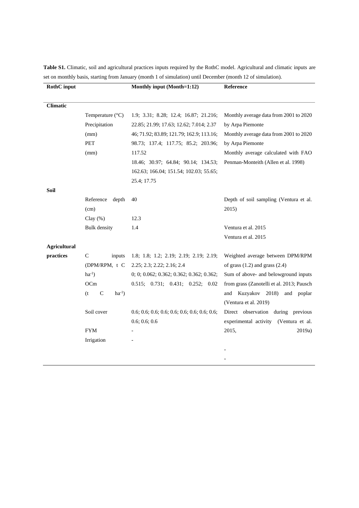| <b>RothC</b> input  |                                    | Monthly input (Month=1:12)               | Reference                                 |  |  |
|---------------------|------------------------------------|------------------------------------------|-------------------------------------------|--|--|
|                     |                                    |                                          |                                           |  |  |
| <b>Climatic</b>     |                                    |                                          |                                           |  |  |
|                     | Temperature (°C)                   | 1.9; 3.31; 8.28; 12.4; 16.87; 21.216;    | Monthly average data from 2001 to 2020    |  |  |
|                     | Precipitation                      | 22.85; 21.99; 17.63; 12.62; 7.014; 2.37  | by Arpa Piemonte                          |  |  |
|                     | (mm)                               | 46; 71.92; 83.89; 121.79; 162.9; 113.16; | Monthly average data from 2001 to 2020    |  |  |
|                     | <b>PET</b>                         | 98.73; 137.4; 117.75; 85.2; 203.96;      | by Arpa Piemonte                          |  |  |
|                     | (mm)                               | 117.52                                   | Monthly average calculated with FAO       |  |  |
|                     |                                    | 18.46; 30.97; 64.84; 90.14; 134.53;      | Penman-Monteith (Allen et al. 1998)       |  |  |
|                     |                                    | 162.63; 166.04; 151.54; 102.03; 55.65;   |                                           |  |  |
|                     |                                    | 25.4; 17.75                              |                                           |  |  |
| Soil                |                                    |                                          |                                           |  |  |
|                     | Reference<br>depth                 | 40                                       | Depth of soil sampling (Ventura et al.    |  |  |
|                     | (cm)                               |                                          | 2015)                                     |  |  |
|                     | Clay $(\%)$                        | 12.3                                     |                                           |  |  |
|                     | <b>Bulk</b> density                | 1.4                                      | Ventura et al. 2015                       |  |  |
|                     |                                    |                                          | Ventura et al. 2015                       |  |  |
| <b>Agricultural</b> |                                    |                                          |                                           |  |  |
| practices           | $\mathsf{C}$<br>inputs             | 1.8; 1.8; 1.2; 2.19; 2.19; 2.19; 2.19;   | Weighted average between DPM/RPM          |  |  |
|                     | (DPM/RPM, t C                      | 2.25; 2.3; 2.22; 2.16; 2.4               | of grass $(1.2)$ and grass $(2.4)$        |  |  |
|                     | $ha^{-1}$ )                        | 0; 0; 0.062; 0.362; 0.362; 0.362; 0.362; | Sum of above- and belowground inputs      |  |  |
|                     | OCm                                | 0.515; 0.731; 0.431; 0.252; 0.02         | from grass (Zanotelli et al. 2013; Pausch |  |  |
|                     | $\mathsf{C}$<br>$ha^{-1}$ )<br>(t) |                                          | and Kuzyakov 2018)<br>and poplar          |  |  |
|                     |                                    |                                          | (Ventura et al. 2019)                     |  |  |
|                     | Soil cover                         |                                          | Direct observation during previous        |  |  |
|                     |                                    | 0.6; 0.6; 0.6                            | experimental activity (Ventura et al.     |  |  |
|                     | <b>FYM</b>                         |                                          | 2015,<br>2019a)                           |  |  |
|                     | Irrigation                         |                                          |                                           |  |  |
|                     |                                    |                                          |                                           |  |  |
|                     |                                    |                                          |                                           |  |  |

**Table S1.** Climatic, soil and agricultural practices inputs required by the RothC model. Agricultural and climatic inputs are set on monthly basis, starting from January (month 1 of simulation) until December (month 12 of simulation).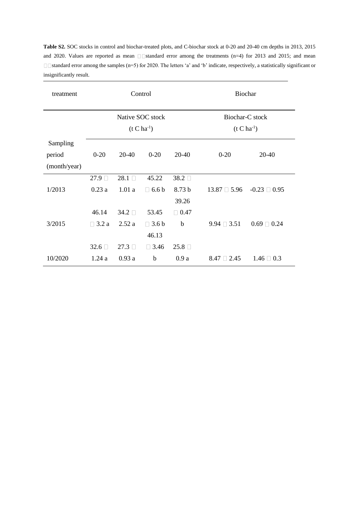**Table S2.** SOC stocks in control and biochar-treated plots, and C-biochar stock at 0-20 and 20-40 cm depths in 2013, 2015 and 2020. Values are reported as mean  $\square$  standard error among the treatments (n=4) for 2013 and 2015; and mean  $\square$ Standard error among the samples (n=5) for 2020. The letters 'a' and 'b' indicate, respectively, a statistically significant or insignificantly result.

| treatment    | Control          |       |              | <b>Biochar</b>    |                      |                      |  |
|--------------|------------------|-------|--------------|-------------------|----------------------|----------------------|--|
|              | Native SOC stock |       |              |                   | Biochar-C stock      |                      |  |
|              | $(t C h a^{-1})$ |       |              |                   | $(t C h a^{-1})$     |                      |  |
| Sampling     |                  |       |              |                   |                      |                      |  |
| period       | $0 - 20$         | 20-40 | $0 - 20$     | 20-40             | $0 - 20$             | 20-40                |  |
| (month/year) |                  |       |              |                   |                      |                      |  |
|              | 27.9             | 28.1  | 45.22        | 38.2 □            |                      |                      |  |
| 1/2013       | 0.23a            | 1.01a | $\Box$ 6.6 b | 8.73 <sub>b</sub> | $13.87 \square 5.96$ | $-0.23 \square 0.95$ |  |
|              |                  |       |              | 39.26             |                      |                      |  |
|              | 46.14            | 34.2  | 53.45        | $\Box$ 0.47       |                      |                      |  |
| 3/2015       | $\Box$ 3.2 a     | 2.52a | $\Box$ 3.6 b | $\mathbf b$       | $9.94 \square 3.51$  | $0.69 \square 0.24$  |  |
|              |                  |       | 46.13        |                   |                      |                      |  |
|              | $32.6\Box$       | 27.3  | $\Box$ 3.46  | 25.8              |                      |                      |  |
| 10/2020      | 1.24a            | 0.93a | $\mathbf b$  | 0.9a              | $8.47 \square 2.45$  | $1.46 \square 0.3$   |  |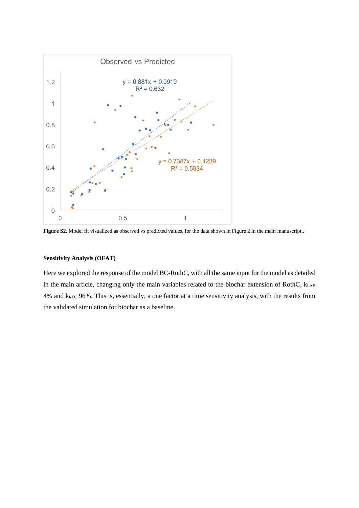

**Figure S2.** Model fit visualized as observed vs predicted values, for the data shown in Figure 2 in the main manuscript..

#### **Sensitivity Analysis (OFAT)**

Here we explored the response of the model BC-RothC, with all the same input for the model as detailed in the main article, changing only the main variables related to the biochar extension of RothC,  $k_{LAB}$ 4% and kREC 96%. This is, essentially, a one factor at a time sensitivity analysis, with the results from the validated simulation for biochar as a baseline.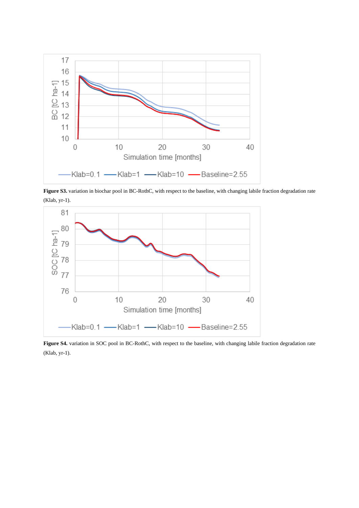

**Figure S3.** variation in biochar pool in BC-RothC, with respect to the baseline, with changing labile fraction degradation rate (Klab, yr-1).



Figure S4. variation in SOC pool in BC-RothC, with respect to the baseline, with changing labile fraction degradation rate (Klab, yr-1).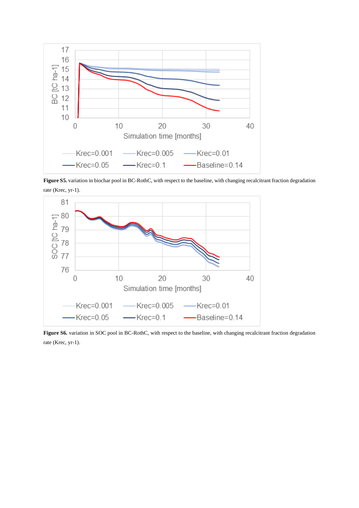

**Figure S5.** variation in biochar pool in BC-RothC, with respect to the baseline, with changing recalcitrant fraction degradation rate (Krec, yr-1).



Figure S6. variation in SOC pool in BC-RothC, with respect to the baseline, with changing recalcitrant fraction degradation rate (Krec, yr-1).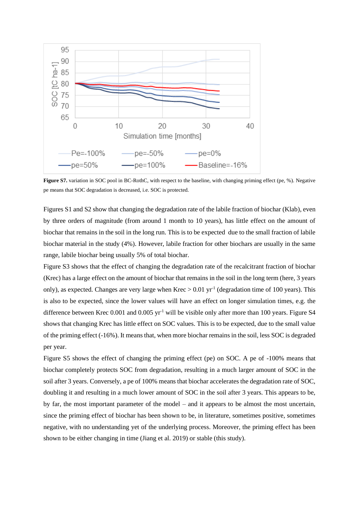

**Figure S7.** variation in SOC pool in BC-RothC, with respect to the baseline, with changing priming effect (pe, %). Negative pe means that SOC degradation is decreased, i.e. SOC is protected.

Figures S1 and S2 show that changing the degradation rate of the labile fraction of biochar (Klab), even by three orders of magnitude (from around 1 month to 10 years), has little effect on the amount of biochar that remains in the soil in the long run. This is to be expected due to the small fraction of labile biochar material in the study (4%). However, labile fraction for other biochars are usually in the same range, labile biochar being usually 5% of total biochar.

Figure S3 shows that the effect of changing the degradation rate of the recalcitrant fraction of biochar (Krec) has a large effect on the amount of biochar that remains in the soil in the long term (here, 3 years only), as expected. Changes are very large when  $Krec > 0.01$  yr<sup>-1</sup> (degradation time of 100 years). This is also to be expected, since the lower values will have an effect on longer simulation times, e.g. the difference between Krec  $0.001$  and  $0.005$  yr<sup>-1</sup> will be visible only after more than 100 years. Figure S4 shows that changing Krec has little effect on SOC values. This is to be expected, due to the small value of the priming effect (-16%). It means that, when more biochar remains in the soil, less SOC is degraded per year.

Figure S5 shows the effect of changing the priming effect (pe) on SOC. A pe of -100% means that biochar completely protects SOC from degradation, resulting in a much larger amount of SOC in the soil after 3 years. Conversely, a pe of 100% means that biochar accelerates the degradation rate of SOC, doubling it and resulting in a much lower amount of SOC in the soil after 3 years. This appears to be, by far, the most important parameter of the model – and it appears to be almost the most uncertain, since the priming effect of biochar has been shown to be, in literature, sometimes positive, sometimes negative, with no understanding yet of the underlying process. Moreover, the priming effect has been shown to be either changing in time (Jiang et al. 2019) or stable (this study).